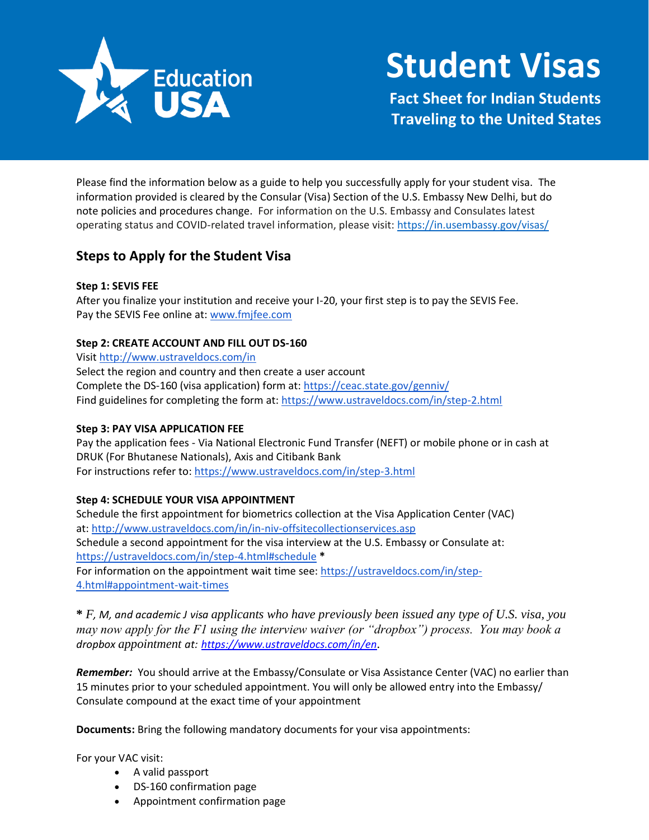

# **Student Visas**

**Fact Sheet for Indian Students Traveling to the United States**

Please find the information below as a guide to help you successfully apply for your student visa. The information provided is cleared by the Consular (Visa) Section of the U.S. Embassy New Delhi, but do note policies and procedures change. For information on the U.S. Embassy and Consulates latest operating status and COVID-related travel information, please visit:<https://in.usembassy.gov/visas/>

# **Steps to Apply for the Student Visa**

# **Step 1: SEVIS FEE**

After you finalize your institution and receive your I-20, your first step is to pay the SEVIS Fee. Pay the SEVIS Fee online at: [www.fmjfee.com](http://www.fmjfee.com/)

# **Step 2: CREATE ACCOUNT AND FILL OUT DS-160**

Visit<http://www.ustraveldocs.com/in> Select the region and country and then create a user account Complete the DS-160 (visa application) form at: <https://ceac.state.gov/genniv/> Find guidelines for completing the form at[: https://www.ustraveldocs.com/in/step-2.html](https://www.ustraveldocs.com/in/step-2.html)

# **Step 3: PAY VISA APPLICATION FEE**

Pay the application fees - Via National Electronic Fund Transfer (NEFT) or mobile phone or in cash at DRUK (For Bhutanese Nationals), Axis and Citibank Bank For instructions refer to[: https://www.ustraveldocs.com/in/step-3.html](https://www.ustraveldocs.com/in/step-3.html)

# **Step 4: SCHEDULE YOUR VISA APPOINTMENT**

Schedule the first appointment for biometrics collection at the Visa Application Center (VAC) at:<http://www.ustraveldocs.com/in/in-niv-offsitecollectionservices.asp> Schedule a second appointment for the visa interview at the U.S. Embassy or Consulate at: <https://ustraveldocs.com/in/step-4.html#schedule> **\*** For information on the appointment wait time see[: https://ustraveldocs.com/in/step-](https://ustraveldocs.com/in/step-4.html#appointment-wait-times)[4.html#appointment-wait-times](https://ustraveldocs.com/in/step-4.html#appointment-wait-times)

**\*** *F, M, and academic J visa applicants who have previously been issued any type of U.S. visa, you may now apply for the F1 using the interview waiver (or "dropbox") process. You may book a dropbox appointment at: <https://www.ustraveldocs.com/in/en>.* 

*Remember:* You should arrive at the Embassy/Consulate or Visa Assistance Center (VAC) no earlier than 15 minutes prior to your scheduled appointment. You will only be allowed entry into the Embassy/ Consulate compound at the exact time of your appointment

**Documents:** Bring the following mandatory documents for your visa appointments:

For your VAC visit:

- A valid passport
- DS-160 confirmation page
- Appointment confirmation page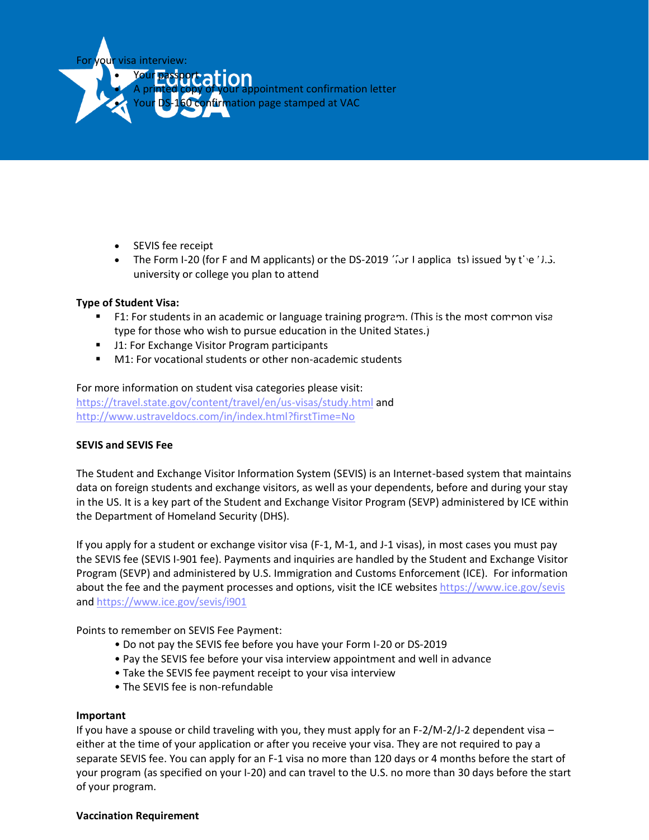

- SEVIS fee receipt
- The Form I-20 (for F and M applicants) or the DS-2019 *for* Lapplical tsl issued by the U.S. university or college you plan to attend university or college you plan to attend

#### **Type of Student Visa:**

- F1: For students in an academic or language training program. (This is the most common visa **the United States**<br>Travelfor those who wish to pursue education in the United States i type for those who wish to pursue education in the United States.)
- J1: For Exchange Visitor Program participants
- M1: For vocational students or other non-academic students

#### For more information on student visa categories please visit:

<https://travel.state.gov/content/travel/en/us-visas/study.html> and <http://www.ustraveldocs.com/in/index.html?firstTime=No>

#### **SEVIS and SEVIS Fee**

The Student and Exchange Visitor Information System (SEVIS) is an Internet-based system that maintains data on foreign students and exchange visitors, as well as your dependents, before and during your stay in the US. It is a key part of the Student and Exchange Visitor Program (SEVP) administered by ICE within the Department of Homeland Security (DHS).

If you apply for a student or exchange visitor visa (F-1, M-1, and J-1 visas), in most cases you must pay the SEVIS fee (SEVIS I-901 fee). Payments and inquiries are handled by the Student and Exchange Visitor Program (SEVP) and administered by U.S. Immigration and Customs Enforcement (ICE). For information about the fee and the payment processes and options, visit the ICE websites https://www.ice.gov/sevis and https://www.ice.gov/sevis/i901

Points to remember on SEVIS Fee Payment:

- Do not pay the SEVIS fee before you have your Form I-20 or DS-2019
- Pay the SEVIS fee before your visa interview appointment and well in advance
- Take the SEVIS fee payment receipt to your visa interview
- The SEVIS fee is non-refundable

#### **Important**

If you have a spouse or child traveling with you, they must apply for an F-2/M-2/J-2 dependent visa – either at the time of your application or after you receive your visa. They are not required to pay a separate SEVIS fee. You can apply for an F-1 visa no more than 120 days or 4 months before the start of your program (as specified on your I-20) and can travel to the U.S. no more than 30 days before the start of your program.

#### **Vaccination Requirement**